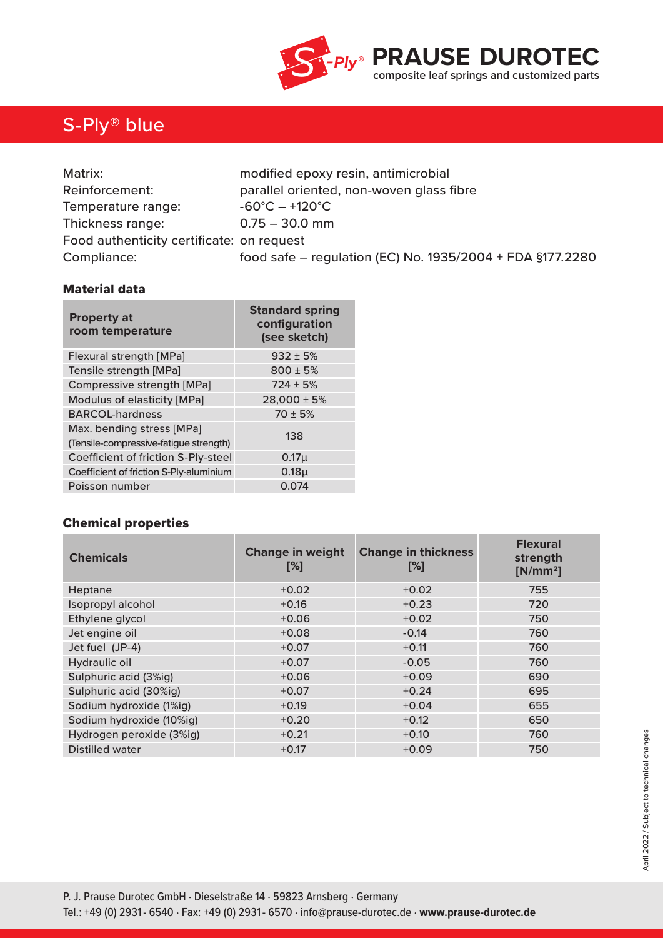

## S-Ply® blue

| Matrix:                                   | modified epoxy resin, antimicrobial                       |  |  |
|-------------------------------------------|-----------------------------------------------------------|--|--|
| Reinforcement:                            | parallel oriented, non-woven glass fibre                  |  |  |
| Temperature range:                        | $-60^{\circ}$ C $- +120^{\circ}$ C                        |  |  |
| Thickness range:                          | $0.75 - 30.0$ mm                                          |  |  |
| Food authenticity certificate: on request |                                                           |  |  |
| Compliance:                               | food safe - regulation (EC) No. 1935/2004 + FDA §177.2280 |  |  |

### Material data

| <b>Property at</b><br>room temperature                              | <b>Standard spring</b><br>configuration<br>(see sketch) |  |  |
|---------------------------------------------------------------------|---------------------------------------------------------|--|--|
| Flexural strength [MPa]                                             | $932 \pm 5%$                                            |  |  |
| Tensile strength [MPa]                                              | $800 \pm 5%$                                            |  |  |
| Compressive strength [MPa]                                          | $724 \pm 5%$                                            |  |  |
| Modulus of elasticity [MPa]                                         | $28,000 \pm 5%$                                         |  |  |
| <b>BARCOL-hardness</b>                                              | $70 \pm 5%$                                             |  |  |
| Max. bending stress [MPa]<br>(Tensile-compressive-fatigue strength) | 138                                                     |  |  |
| Coefficient of friction S-Ply-steel                                 | 0.17 <sub>µ</sub>                                       |  |  |
| Coefficient of friction S-Ply-aluminium                             | 0.18 <sub>µ</sub>                                       |  |  |
| Poisson number                                                      | 0.074                                                   |  |  |

## Chemical properties

| <b>Chemicals</b>         | <b>Change in weight</b><br>$[\%]$ | <b>Change in thickness</b><br>[%] | <b>Flexural</b><br>strength<br>$[N/mm^2]$ |
|--------------------------|-----------------------------------|-----------------------------------|-------------------------------------------|
| Heptane                  | $+0.02$                           | $+0.02$                           | 755                                       |
| Isopropyl alcohol        | $+0.16$                           | $+0.23$                           | 720                                       |
| Ethylene glycol          | $+0.06$                           | $+0.02$                           | 750                                       |
| Jet engine oil           | $+0.08$                           | $-0.14$                           | 760                                       |
| Jet fuel (JP-4)          | $+0.07$                           | $+0.11$                           | 760                                       |
| Hydraulic oil            | $+0.07$                           | $-0.05$                           | 760                                       |
| Sulphuric acid (3%ig)    | $+0.06$                           | $+0.09$                           | 690                                       |
| Sulphuric acid (30%ig)   | $+0.07$                           | $+0.24$                           | 695                                       |
| Sodium hydroxide (1%ig)  | $+0.19$                           | $+0.04$                           | 655                                       |
| Sodium hydroxide (10%ig) | $+0.20$                           | $+0.12$                           | 650                                       |
| Hydrogen peroxide (3%ig) | $+0.21$                           | $+0.10$                           | 760                                       |
| Distilled water          | $+0.17$                           | $+0.09$                           | 750                                       |